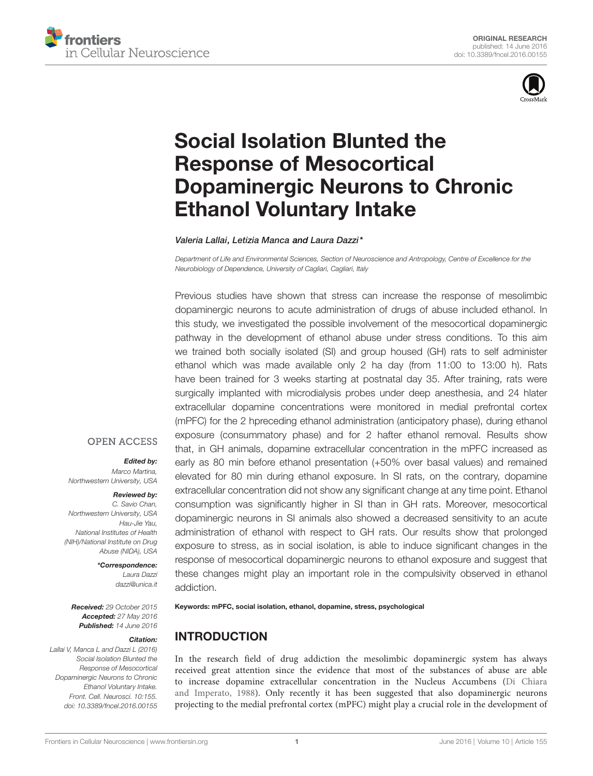



# Social Isolation Blunted the Response of Mesocortical Dopaminergic Neurons to Chronic Ethanol Voluntary Intake

Valeria Lallai, Letizia Manca and Laura Dazzi\*

Department of Life and Environmental Sciences, Section of Neuroscience and Antropology, Centre of Excellence for the Neurobiology of Dependence, University of Cagliari, Cagliari, Italy

Previous studies have shown that stress can increase the response of mesolimbic dopaminergic neurons to acute administration of drugs of abuse included ethanol. In this study, we investigated the possible involvement of the mesocortical dopaminergic pathway in the development of ethanol abuse under stress conditions. To this aim we trained both socially isolated (SI) and group housed (GH) rats to self administer ethanol which was made available only 2 ha day (from 11:00 to 13:00 h). Rats have been trained for 3 weeks starting at postnatal day 35. After training, rats were surgically implanted with microdialysis probes under deep anesthesia, and 24 hlater extracellular dopamine concentrations were monitored in medial prefrontal cortex (mPFC) for the 2 hpreceding ethanol administration (anticipatory phase), during ethanol exposure (consummatory phase) and for 2 hafter ethanol removal. Results show that, in GH animals, dopamine extracellular concentration in the mPFC increased as early as 80 min before ethanol presentation (+50% over basal values) and remained elevated for 80 min during ethanol exposure. In SI rats, on the contrary, dopamine extracellular concentration did not show any significant change at any time point. Ethanol consumption was significantly higher in SI than in GH rats. Moreover, mesocortical dopaminergic neurons in SI animals also showed a decreased sensitivity to an acute administration of ethanol with respect to GH rats. Our results show that prolonged exposure to stress, as in social isolation, is able to induce significant changes in the response of mesocortical dopaminergic neurons to ethanol exposure and suggest that these changes might play an important role in the compulsivity observed in ethanol addiction.

#### **OPEN ACCESS**

Edited by:

Marco Martina, Northwestern University, USA

#### Reviewed by:

C. Savio Chan, Northwestern University, USA Hau-Jie Yau, National Institutes of Health (NIH)/National Institute on Drug Abuse (NIDA), USA

\*Correspondence:

Laura Dazzi dazzi@unica.it

Received: 29 October 2015 Accepted: 27 May 2016 Published: 14 June 2016

#### Citation:

Lallai V, Manca L and Dazzi L (2016) Social Isolation Blunted the Response of Mesocortical Dopaminergic Neurons to Chronic Ethanol Voluntary Intake. Front. Cell. Neurosci. 10:155. doi: 10.3389/fncel.2016.00155 Keywords: mPFC, social isolation, ethanol, dopamine, stress, psychological

# INTRODUCTION

In the research field of drug addiction the mesolimbic dopaminergic system has always received great attention since the evidence that most of the substances of abuse are able to increase dopamine extracellular concentration in the Nucleus Accumbens (Di Chiara and Imperato, 1988). Only recently it has been suggested that also dopaminergic neurons projecting to the medial prefrontal cortex (mPFC) might play a crucial role in the development of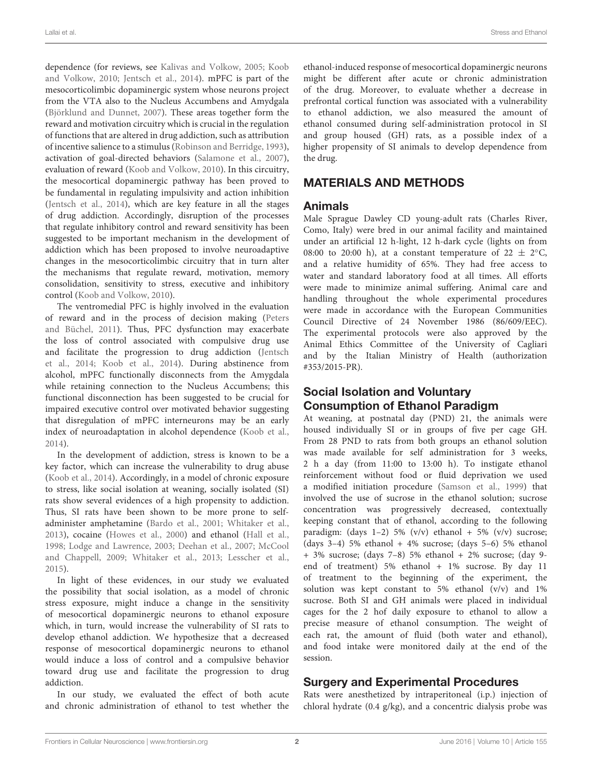dependence (for reviews, see Kalivas and Volkow, 2005; Koob and Volkow, 2010; Jentsch et al., 2014). mPFC is part of the mesocorticolimbic dopaminergic system whose neurons project from the VTA also to the Nucleus Accumbens and Amydgala (Björklund and Dunnet, 2007). These areas together form the reward and motivation circuitry which is crucial in the regulation of functions that are altered in drug addiction, such as attribution of incentive salience to a stimulus (Robinson and Berridge, 1993), activation of goal-directed behaviors (Salamone et al., 2007), evaluation of reward (Koob and Volkow, 2010). In this circuitry, the mesocortical dopaminergic pathway has been proved to be fundamental in regulating impulsivity and action inhibition (Jentsch et al., 2014), which are key feature in all the stages of drug addiction. Accordingly, disruption of the processes that regulate inhibitory control and reward sensitivity has been suggested to be important mechanism in the development of addiction which has been proposed to involve neuroadaptive changes in the mesocorticolimbic circuitry that in turn alter the mechanisms that regulate reward, motivation, memory consolidation, sensitivity to stress, executive and inhibitory control (Koob and Volkow, 2010).

The ventromedial PFC is highly involved in the evaluation of reward and in the process of decision making (Peters and Büchel, 2011). Thus, PFC dysfunction may exacerbate the loss of control associated with compulsive drug use and facilitate the progression to drug addiction (Jentsch et al., 2014; Koob et al., 2014). During abstinence from alcohol, mPFC functionally disconnects from the Amygdala while retaining connection to the Nucleus Accumbens; this functional disconnection has been suggested to be crucial for impaired executive control over motivated behavior suggesting that disregulation of mPFC interneurons may be an early index of neuroadaptation in alcohol dependence (Koob et al., 2014).

In the development of addiction, stress is known to be a key factor, which can increase the vulnerability to drug abuse (Koob et al., 2014). Accordingly, in a model of chronic exposure to stress, like social isolation at weaning, socially isolated (SI) rats show several evidences of a high propensity to addiction. Thus, SI rats have been shown to be more prone to selfadminister amphetamine (Bardo et al., 2001; Whitaker et al., 2013), cocaine (Howes et al., 2000) and ethanol (Hall et al., 1998; Lodge and Lawrence, 2003; Deehan et al., 2007; McCool and Chappell, 2009; Whitaker et al., 2013; Lesscher et al., 2015).

In light of these evidences, in our study we evaluated the possibility that social isolation, as a model of chronic stress exposure, might induce a change in the sensitivity of mesocortical dopaminergic neurons to ethanol exposure which, in turn, would increase the vulnerability of SI rats to develop ethanol addiction. We hypothesize that a decreased response of mesocortical dopaminergic neurons to ethanol would induce a loss of control and a compulsive behavior toward drug use and facilitate the progression to drug addiction.

In our study, we evaluated the effect of both acute and chronic administration of ethanol to test whether the ethanol-induced response of mesocortical dopaminergic neurons might be different after acute or chronic administration of the drug. Moreover, to evaluate whether a decrease in prefrontal cortical function was associated with a vulnerability to ethanol addiction, we also measured the amount of ethanol consumed during self-administration protocol in SI and group housed (GH) rats, as a possible index of a higher propensity of SI animals to develop dependence from the drug.

# MATERIALS AND METHODS

#### Animals

Male Sprague Dawley CD young-adult rats (Charles River, Como, Italy) were bred in our animal facility and maintained under an artificial 12 h-light, 12 h-dark cycle (lights on from 08:00 to 20:00 h), at a constant temperature of 22  $\pm$  2°C, and a relative humidity of 65%. They had free access to water and standard laboratory food at all times. All efforts were made to minimize animal suffering. Animal care and handling throughout the whole experimental procedures were made in accordance with the European Communities Council Directive of 24 November 1986 (86/609/EEC). The experimental protocols were also approved by the Animal Ethics Committee of the University of Cagliari and by the Italian Ministry of Health (authorization #353/2015-PR).

# Social Isolation and Voluntary Consumption of Ethanol Paradigm

At weaning, at postnatal day (PND) 21, the animals were housed individually SI or in groups of five per cage GH. From 28 PND to rats from both groups an ethanol solution was made available for self administration for 3 weeks, 2 h a day (from 11:00 to 13:00 h). To instigate ethanol reinforcement without food or fluid deprivation we used a modified initiation procedure (Samson et al., 1999) that involved the use of sucrose in the ethanol solution; sucrose concentration was progressively decreased, contextually keeping constant that of ethanol, according to the following paradigm: (days 1-2) 5% (v/v) ethanol + 5% (v/v) sucrose; (days  $3-4$ ) 5% ethanol + 4% sucrose; (days  $5-6$ ) 5% ethanol + 3% sucrose; (days 7–8) 5% ethanol + 2% sucrose; (day 9 end of treatment) 5% ethanol + 1% sucrose. By day 11 of treatment to the beginning of the experiment, the solution was kept constant to 5% ethanol (v/v) and 1% sucrose. Both SI and GH animals were placed in individual cages for the 2 hof daily exposure to ethanol to allow a precise measure of ethanol consumption. The weight of each rat, the amount of fluid (both water and ethanol), and food intake were monitored daily at the end of the session.

## Surgery and Experimental Procedures

Rats were anesthetized by intraperitoneal (i.p.) injection of chloral hydrate (0.4 g/kg), and a concentric dialysis probe was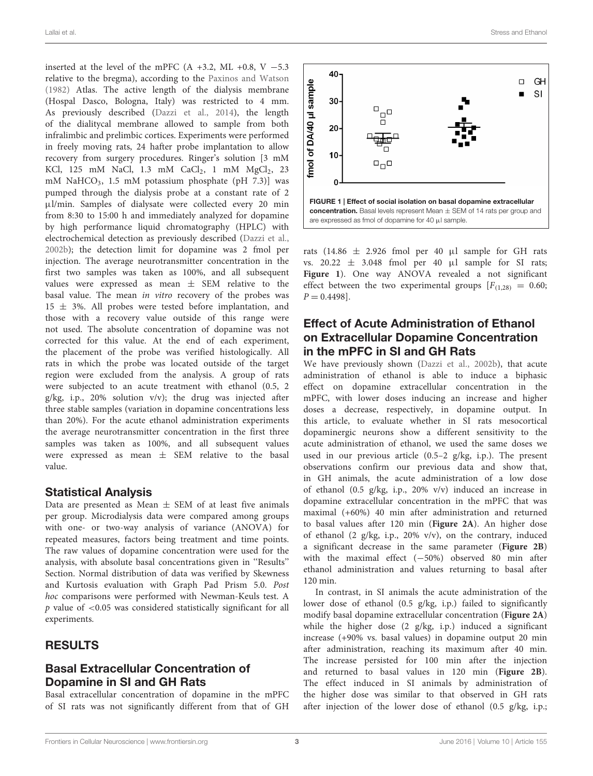inserted at the level of the mPFC  $(A +3.2, ML +0.8, V -5.3)$ relative to the bregma), according to the Paxinos and Watson (1982) Atlas. The active length of the dialysis membrane (Hospal Dasco, Bologna, Italy) was restricted to 4 mm. As previously described (Dazzi et al., 2014), the length of the dialitycal membrane allowed to sample from both infralimbic and prelimbic cortices. Experiments were performed in freely moving rats, 24 hafter probe implantation to allow recovery from surgery procedures. Ringer's solution [3 mM KCl,  $125$  mM NaCl,  $1.3$  mM CaCl<sub>2</sub>,  $1$  mM MgCl<sub>2</sub>,  $23$ mM NaHCO<sub>3</sub>, 1.5 mM potassium phosphate (pH  $7.3$ )] was pumped through the dialysis probe at a constant rate of 2 µl/min. Samples of dialysate were collected every 20 min from 8:30 to 15:00 h and immediately analyzed for dopamine by high performance liquid chromatography (HPLC) with electrochemical detection as previously described (Dazzi et al., 2002b); the detection limit for dopamine was 2 fmol per injection. The average neurotransmitter concentration in the first two samples was taken as 100%, and all subsequent values were expressed as mean  $\pm$  SEM relative to the basal value. The mean in vitro recovery of the probes was  $15 \pm 3\%$ . All probes were tested before implantation, and those with a recovery value outside of this range were not used. The absolute concentration of dopamine was not corrected for this value. At the end of each experiment, the placement of the probe was verified histologically. All rats in which the probe was located outside of the target region were excluded from the analysis. A group of rats were subjected to an acute treatment with ethanol (0.5, 2 g/kg, i.p., 20% solution v/v); the drug was injected after three stable samples (variation in dopamine concentrations less than 20%). For the acute ethanol administration experiments the average neurotransmitter concentration in the first three samples was taken as 100%, and all subsequent values were expressed as mean  $\pm$  SEM relative to the basal value.

## Statistical Analysis

Data are presented as Mean  $\pm$  SEM of at least five animals per group. Microdialysis data were compared among groups with one- or two-way analysis of variance (ANOVA) for repeated measures, factors being treatment and time points. The raw values of dopamine concentration were used for the analysis, with absolute basal concentrations given in ''Results'' Section. Normal distribution of data was verified by Skewness and Kurtosis evaluation with Graph Pad Prism 5.0. Post hoc comparisons were performed with Newman-Keuls test. A  $p$  value of  $\lt$ 0.05 was considered statistically significant for all experiments.

## RESULTS

# Basal Extracellular Concentration of Dopamine in SI and GH Rats

Basal extracellular concentration of dopamine in the mPFC of SI rats was not significantly different from that of GH



rats (14.86  $\pm$  2.926 fmol per 40 µl sample for GH rats vs.  $20.22 \pm 3.048$  fmol per 40 µl sample for SI rats; **Figure 1**). One way ANOVA revealed a not significant effect between the two experimental groups  $[F(1,28)] = 0.60;$  $P = 0.4498$ .

# Effect of Acute Administration of Ethanol on Extracellular Dopamine Concentration in the mPFC in SI and GH Rats

We have previously shown (Dazzi et al., 2002b), that acute administration of ethanol is able to induce a biphasic effect on dopamine extracellular concentration in the mPFC, with lower doses inducing an increase and higher doses a decrease, respectively, in dopamine output. In this article, to evaluate whether in SI rats mesocortical dopaminergic neurons show a different sensitivity to the acute administration of ethanol, we used the same doses we used in our previous article (0.5–2 g/kg, i.p.). The present observations confirm our previous data and show that, in GH animals, the acute administration of a low dose of ethanol (0.5 g/kg, i.p., 20% v/v) induced an increase in dopamine extracellular concentration in the mPFC that was maximal (+60%) 40 min after administration and returned to basal values after 120 min (**Figure 2A**). An higher dose of ethanol (2 g/kg, i.p., 20% v/v), on the contrary, induced a significant decrease in the same parameter (**Figure 2B**) with the maximal effect (−50%) observed 80 min after ethanol administration and values returning to basal after 120 min.

In contrast, in SI animals the acute administration of the lower dose of ethanol (0.5 g/kg, i.p.) failed to significantly modify basal dopamine extracellular concentration (**Figure 2A**) while the higher dose (2 g/kg, i.p.) induced a significant increase (+90% vs. basal values) in dopamine output 20 min after administration, reaching its maximum after 40 min. The increase persisted for 100 min after the injection and returned to basal values in 120 min (**Figure 2B**). The effect induced in SI animals by administration of the higher dose was similar to that observed in GH rats after injection of the lower dose of ethanol (0.5 g/kg, i.p.;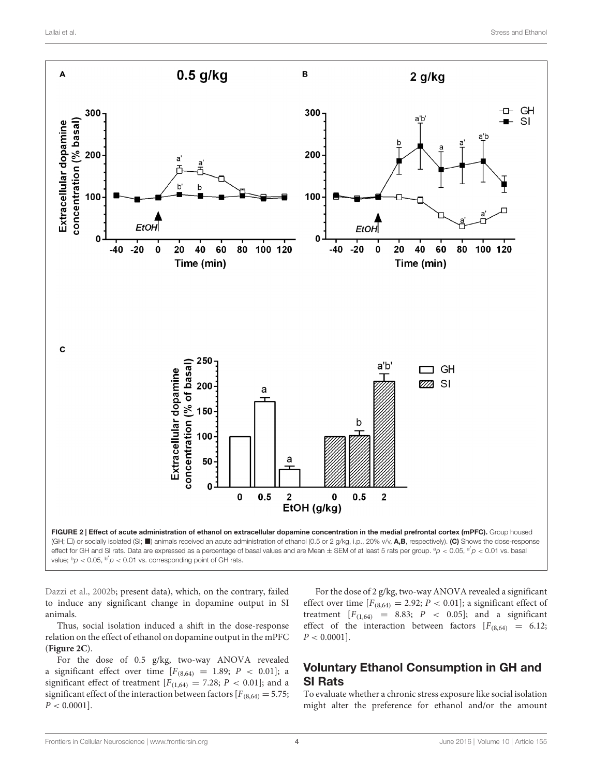

value;  ${}^{b}p$  < 0.05,  ${}^{b'}p$  < 0.01 vs. corresponding point of GH rats.

Dazzi et al., 2002b; present data), which, on the contrary, failed to induce any significant change in dopamine output in SI animals.

Thus, social isolation induced a shift in the dose-response relation on the effect of ethanol on dopamine output in the mPFC (**Figure 2C**).

For the dose of 0.5 g/kg, two-way ANOVA revealed a significant effect over time  $[F_{(8,64)} = 1.89; P < 0.01]$ ; a significant effect of treatment  $[F(1,64) = 7.28; P < 0.01]$ ; and a significant effect of the interaction between factors  $[F_{(8,64)} = 5.75;$  $P < 0.0001$ .

For the dose of 2 g/kg, two-way ANOVA revealed a significant effect over time  $[F_{(8,64)} = 2.92; P < 0.01]$ ; a significant effect of treatment  $[F_{(1,64)} = 8.83; P < 0.05]$ ; and a significant effect of the interaction between factors  $[F_{(8,64)} = 6.12;$  $P < 0.0001$ .

# Voluntary Ethanol Consumption in GH and SI Rats

To evaluate whether a chronic stress exposure like social isolation might alter the preference for ethanol and/or the amount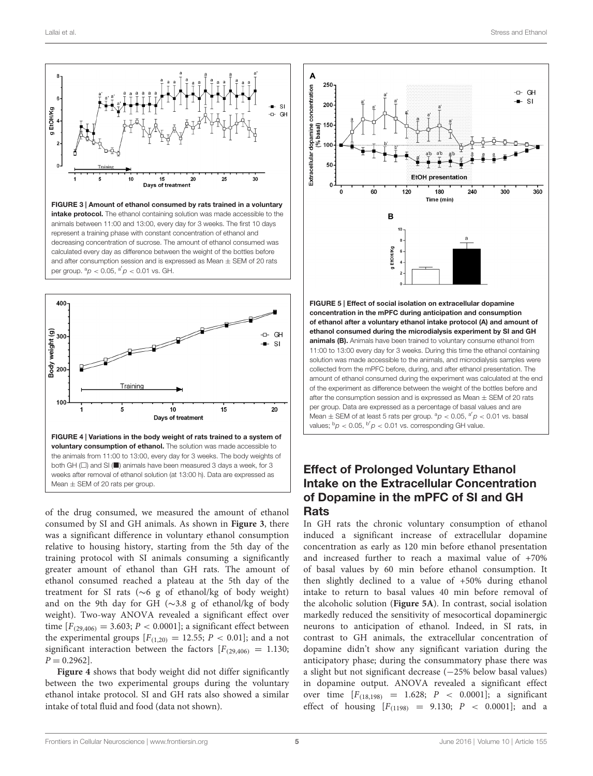



of the drug consumed, we measured the amount of ethanol consumed by SI and GH animals. As shown in **Figure 3**, there was a significant difference in voluntary ethanol consumption relative to housing history, starting from the 5th day of the training protocol with SI animals consuming a significantly greater amount of ethanol than GH rats. The amount of ethanol consumed reached a plateau at the 5th day of the treatment for SI rats (∼6 g of ethanol/kg of body weight) and on the 9th day for GH (∼3.8 g of ethanol/kg of body weight). Two-way ANOVA revealed a significant effect over time  $[F_{(29,406)} = 3.603; P < 0.0001]$ ; a significant effect between the experimental groups  $[F(1,20) = 12.55; P < 0.01]$ ; and a not significant interaction between the factors  $[F_{(29,406)} = 1.130;$  $P = 0.2962$ .

**Figure 4** shows that body weight did not differ significantly between the two experimental groups during the voluntary ethanol intake protocol. SI and GH rats also showed a similar intake of total fluid and food (data not shown).



concentration in the mPFC during anticipation and consumption of ethanol after a voluntary ethanol intake protocol (A) and amount of ethanol consumed during the microdialysis experiment by SI and GH animals (B). Animals have been trained to voluntary consume ethanol from 11:00 to 13:00 every day for 3 weeks. During this time the ethanol containing solution was made accessible to the animals, and microdialysis samples were collected from the mPFC before, during, and after ethanol presentation. The amount of ethanol consumed during the experiment was calculated at the end of the experiment as difference between the weight of the bottles before and after the consumption session and is expressed as Mean  $\pm$  SEM of 20 rats per group. Data are expressed as a percentage of basal values and are Mean  $\pm$  SEM of at least 5 rats per group.  ${}^{a}p < 0.05$ ,  ${}^{a'}p < 0.01$  vs. basal values;  $b_p < 0.05$ ,  $b'p < 0.01$  vs. corresponding GH value.

# Effect of Prolonged Voluntary Ethanol Intake on the Extracellular Concentration of Dopamine in the mPFC of SI and GH Rats

In GH rats the chronic voluntary consumption of ethanol induced a significant increase of extracellular dopamine concentration as early as 120 min before ethanol presentation and increased further to reach a maximal value of +70% of basal values by 60 min before ethanol consumption. It then slightly declined to a value of +50% during ethanol intake to return to basal values 40 min before removal of the alcoholic solution (**Figure 5A**). In contrast, social isolation markedly reduced the sensitivity of mesocortical dopaminergic neurons to anticipation of ethanol. Indeed, in SI rats, in contrast to GH animals, the extracellular concentration of dopamine didn't show any significant variation during the anticipatory phase; during the consummatory phase there was a slight but not significant decrease (−25% below basal values) in dopamine output. ANOVA revealed a significant effect over time  $[F_{(18,198)} = 1.628; P < 0.0001]$ ; a significant effect of housing  $[F(1198) = 9.130; P < 0.0001]$ ; and a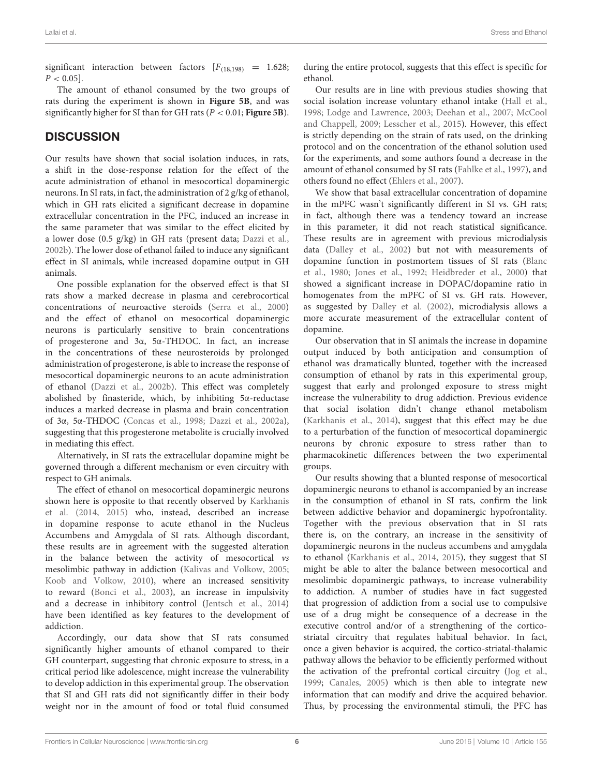significant interaction between factors  $[F_{(18,198)} = 1.628;$  $P < 0.05$ ].

The amount of ethanol consumed by the two groups of rats during the experiment is shown in **Figure 5B**, and was significantly higher for SI than for GH rats (P < 0.01; **Figure 5B**).

# **DISCUSSION**

Our results have shown that social isolation induces, in rats, a shift in the dose-response relation for the effect of the acute administration of ethanol in mesocortical dopaminergic neurons. In SI rats, in fact, the administration of 2 g/kg of ethanol, which in GH rats elicited a significant decrease in dopamine extracellular concentration in the PFC, induced an increase in the same parameter that was similar to the effect elicited by a lower dose (0.5 g/kg) in GH rats (present data; Dazzi et al., 2002b). The lower dose of ethanol failed to induce any significant effect in SI animals, while increased dopamine output in GH animals.

One possible explanation for the observed effect is that SI rats show a marked decrease in plasma and cerebrocortical concentrations of neuroactive steroids (Serra et al., 2000) and the effect of ethanol on mesocortical dopaminergic neurons is particularly sensitive to brain concentrations of progesterone and 3α, 5α-THDOC. In fact, an increase in the concentrations of these neurosteroids by prolonged administration of progesterone, is able to increase the response of mesocortical dopaminergic neurons to an acute administration of ethanol (Dazzi et al., 2002b). This effect was completely abolished by finasteride, which, by inhibiting 5α-reductase induces a marked decrease in plasma and brain concentration of 3α, 5α-THDOC (Concas et al., 1998; Dazzi et al., 2002a), suggesting that this progesterone metabolite is crucially involved in mediating this effect.

Alternatively, in SI rats the extracellular dopamine might be governed through a different mechanism or even circuitry with respect to GH animals.

The effect of ethanol on mesocortical dopaminergic neurons shown here is opposite to that recently observed by Karkhanis et al. (2014, 2015) who, instead, described an increase in dopamine response to acute ethanol in the Nucleus Accumbens and Amygdala of SI rats. Although discordant, these results are in agreement with the suggested alteration in the balance between the activity of mesocortical vs mesolimbic pathway in addiction (Kalivas and Volkow, 2005; Koob and Volkow, 2010), where an increased sensitivity to reward (Bonci et al., 2003), an increase in impulsivity and a decrease in inhibitory control (Jentsch et al., 2014) have been identified as key features to the development of addiction.

Accordingly, our data show that SI rats consumed significantly higher amounts of ethanol compared to their GH counterpart, suggesting that chronic exposure to stress, in a critical period like adolescence, might increase the vulnerability to develop addiction in this experimental group. The observation that SI and GH rats did not significantly differ in their body weight nor in the amount of food or total fluid consumed

during the entire protocol, suggests that this effect is specific for ethanol.

Our results are in line with previous studies showing that social isolation increase voluntary ethanol intake (Hall et al., 1998; Lodge and Lawrence, 2003; Deehan et al., 2007; McCool and Chappell, 2009; Lesscher et al., 2015). However, this effect is strictly depending on the strain of rats used, on the drinking protocol and on the concentration of the ethanol solution used for the experiments, and some authors found a decrease in the amount of ethanol consumed by SI rats (Fahlke et al., 1997), and others found no effect (Ehlers et al., 2007).

We show that basal extracellular concentration of dopamine in the mPFC wasn't significantly different in SI vs. GH rats; in fact, although there was a tendency toward an increase in this parameter, it did not reach statistical significance. These results are in agreement with previous microdialysis data (Dalley et al., 2002) but not with measurements of dopamine function in postmortem tissues of SI rats (Blanc et al., 1980; Jones et al., 1992; Heidbreder et al., 2000) that showed a significant increase in DOPAC/dopamine ratio in homogenates from the mPFC of SI vs. GH rats. However, as suggested by Dalley et al. (2002), microdialysis allows a more accurate measurement of the extracellular content of dopamine.

Our observation that in SI animals the increase in dopamine output induced by both anticipation and consumption of ethanol was dramatically blunted, together with the increased consumption of ethanol by rats in this experimental group, suggest that early and prolonged exposure to stress might increase the vulnerability to drug addiction. Previous evidence that social isolation didn't change ethanol metabolism (Karkhanis et al., 2014), suggest that this effect may be due to a perturbation of the function of mesocortical dopaminergic neurons by chronic exposure to stress rather than to pharmacokinetic differences between the two experimental groups.

Our results showing that a blunted response of mesocortical dopaminergic neurons to ethanol is accompanied by an increase in the consumption of ethanol in SI rats, confirm the link between addictive behavior and dopaminergic hypofrontality. Together with the previous observation that in SI rats there is, on the contrary, an increase in the sensitivity of dopaminergic neurons in the nucleus accumbens and amygdala to ethanol (Karkhanis et al., 2014, 2015), they suggest that SI might be able to alter the balance between mesocortical and mesolimbic dopaminergic pathways, to increase vulnerability to addiction. A number of studies have in fact suggested that progression of addiction from a social use to compulsive use of a drug might be consequence of a decrease in the executive control and/or of a strengthening of the corticostriatal circuitry that regulates habitual behavior. In fact, once a given behavior is acquired, the cortico-striatal-thalamic pathway allows the behavior to be efficiently performed without the activation of the prefrontal cortical circuitry (Jog et al., 1999; Canales, 2005) which is then able to integrate new information that can modify and drive the acquired behavior. Thus, by processing the environmental stimuli, the PFC has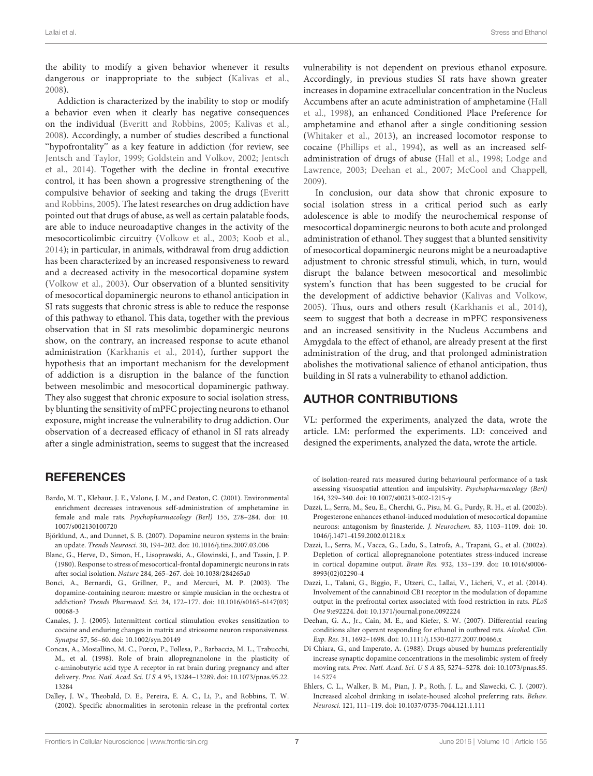the ability to modify a given behavior whenever it results dangerous or inappropriate to the subject (Kalivas et al., 2008).

Addiction is characterized by the inability to stop or modify a behavior even when it clearly has negative consequences on the individual (Everitt and Robbins, 2005; Kalivas et al., 2008). Accordingly, a number of studies described a functional ''hypofrontality'' as a key feature in addiction (for review, see Jentsch and Taylor, 1999; Goldstein and Volkov, 2002; Jentsch et al., 2014). Together with the decline in frontal executive control, it has been shown a progressive strengthening of the compulsive behavior of seeking and taking the drugs (Everitt and Robbins, 2005). The latest researches on drug addiction have pointed out that drugs of abuse, as well as certain palatable foods, are able to induce neuroadaptive changes in the activity of the mesocorticolimbic circuitry (Volkow et al., 2003; Koob et al., 2014); in particular, in animals, withdrawal from drug addiction has been characterized by an increased responsiveness to reward and a decreased activity in the mesocortical dopamine system (Volkow et al., 2003). Our observation of a blunted sensitivity of mesocortical dopaminergic neurons to ethanol anticipation in SI rats suggests that chronic stress is able to reduce the response of this pathway to ethanol. This data, together with the previous observation that in SI rats mesolimbic dopaminergic neurons show, on the contrary, an increased response to acute ethanol administration (Karkhanis et al., 2014), further support the hypothesis that an important mechanism for the development of addiction is a disruption in the balance of the function between mesolimbic and mesocortical dopaminergic pathway. They also suggest that chronic exposure to social isolation stress, by blunting the sensitivity of mPFC projecting neurons to ethanol exposure, might increase the vulnerability to drug addiction. Our observation of a decreased efficacy of ethanol in SI rats already after a single administration, seems to suggest that the increased

## **REFERENCES**

- Bardo, M. T., Klebaur, J. E., Valone, J. M., and Deaton, C. (2001). Environmental enrichment decreases intravenous self-administration of amphetamine in female and male rats. Psychopharmacology (Berl) 155, 278–284. doi: 10. 1007/s002130100720
- Björklund, A., and Dunnet, S. B. (2007). Dopamine neuron systems in the brain: an update. Trends Neurosci. 30, 194–202. doi: 10.1016/j.tins.2007.03.006
- Blanc, G., Herve, D., Simon, H., Lisoprawski, A., Glowinski, J., and Tassin, J. P. (1980). Response to stress of mesocortical-frontal dopaminergic neurons in rats after social isolation. Nature 284, 265–267. doi: 10.1038/284265a0
- Bonci, A., Bernardi, G., Grillner, P., and Mercuri, M. P. (2003). The dopamine-containing neuron: maestro or simple musician in the orchestra of addiction? Trends Pharmacol. Sci. 24, 172–177. doi: 10.1016/s0165-6147(03) 00068-3
- Canales, J. J. (2005). Intermittent cortical stimulation evokes sensitization to cocaine and enduring changes in matrix and striosome neuron responsiveness. Synapse 57, 56–60. doi: 10.1002/syn.20149
- Concas, A., Mostallino, M. C., Porcu, P., Follesa, P., Barbaccia, M. L., Trabucchi, M., et al. (1998). Role of brain allopregnanolone in the plasticity of c-aminobutyric acid type A receptor in rat brain during pregnancy and after delivery. Proc. Natl. Acad. Sci. U S A 95, 13284–13289. doi: 10.1073/pnas.95.22. 13284
- Dalley, J. W., Theobald, D. E., Pereira, E. A. C., Li, P., and Robbins, T. W. (2002). Specific abnormalities in serotonin release in the prefrontal cortex

vulnerability is not dependent on previous ethanol exposure. Accordingly, in previous studies SI rats have shown greater increases in dopamine extracellular concentration in the Nucleus Accumbens after an acute administration of amphetamine (Hall et al., 1998), an enhanced Conditioned Place Preference for amphetamine and ethanol after a single conditioning session (Whitaker et al., 2013), an increased locomotor response to cocaine (Phillips et al., 1994), as well as an increased selfadministration of drugs of abuse (Hall et al., 1998; Lodge and Lawrence, 2003; Deehan et al., 2007; McCool and Chappell, 2009).

In conclusion, our data show that chronic exposure to social isolation stress in a critical period such as early adolescence is able to modify the neurochemical response of mesocortical dopaminergic neurons to both acute and prolonged administration of ethanol. They suggest that a blunted sensitivity of mesocortical dopaminergic neurons might be a neuroadaptive adjustment to chronic stressful stimuli, which, in turn, would disrupt the balance between mesocortical and mesolimbic system's function that has been suggested to be crucial for the development of addictive behavior (Kalivas and Volkow, 2005). Thus, ours and others result (Karkhanis et al., 2014), seem to suggest that both a decrease in mPFC responsiveness and an increased sensitivity in the Nucleus Accumbens and Amygdala to the effect of ethanol, are already present at the first administration of the drug, and that prolonged administration abolishes the motivational salience of ethanol anticipation, thus building in SI rats a vulnerability to ethanol addiction.

# AUTHOR CONTRIBUTIONS

VL: performed the experiments, analyzed the data, wrote the article. LM: performed the experiments. LD: conceived and designed the experiments, analyzed the data, wrote the article.

of isolation-reared rats measured during behavioural performance of a task assessing visuospatial attention and impulsivity. Psychopharmacology (Berl) 164, 329–340. doi: 10.1007/s00213-002-1215-y

- Dazzi, L., Serra, M., Seu, E., Cherchi, G., Pisu, M. G., Purdy, R. H., et al. (2002b). Progesterone enhances ethanol-induced modulation of mesocortical dopamine neurons: antagonism by finasteride. J. Neurochem. 83, 1103–1109. doi: 10. 1046/j.1471-4159.2002.01218.x
- Dazzi, L., Serra, M., Vacca, G., Ladu, S., Latrofa, A., Trapani, G., et al. (2002a). Depletion of cortical allopregnanolone potentiates stress-induced increase in cortical dopamine output. Brain Res. 932, 135–139. doi: 10.1016/s0006- 8993(02)02290-4
- Dazzi, L., Talani, G., Biggio, F., Utzeri, C., Lallai, V., Licheri, V., et al. (2014). Involvement of the cannabinoid CB1 receptor in the modulation of dopamine output in the prefrontal cortex associated with food restriction in rats. PLoS One 9:e92224. doi: 10.1371/journal.pone.0092224
- Deehan, G. A., Jr., Cain, M. E., and Kiefer, S. W. (2007). Differential rearing conditions alter operant responding for ethanol in outbred rats. Alcohol. Clin. Exp. Res. 31, 1692–1698. doi: 10.1111/j.1530-0277.2007.00466.x
- Di Chiara, G., and Imperato, A. (1988). Drugs abused by humans preferentially increase synaptic dopamine concentrations in the mesolimbic system of freely moving rats. Proc. Natl. Acad. Sci. U S A 85, 5274–5278. doi: 10.1073/pnas.85. 14.5274
- Ehlers, C. L., Walker, B. M., Pian, J. P., Roth, J. L., and Slawecki, C. J. (2007). Increased alcohol drinking in isolate-housed alcohol preferring rats. Behav. Neurosci. 121, 111–119. doi: 10.1037/0735-7044.121.1.111